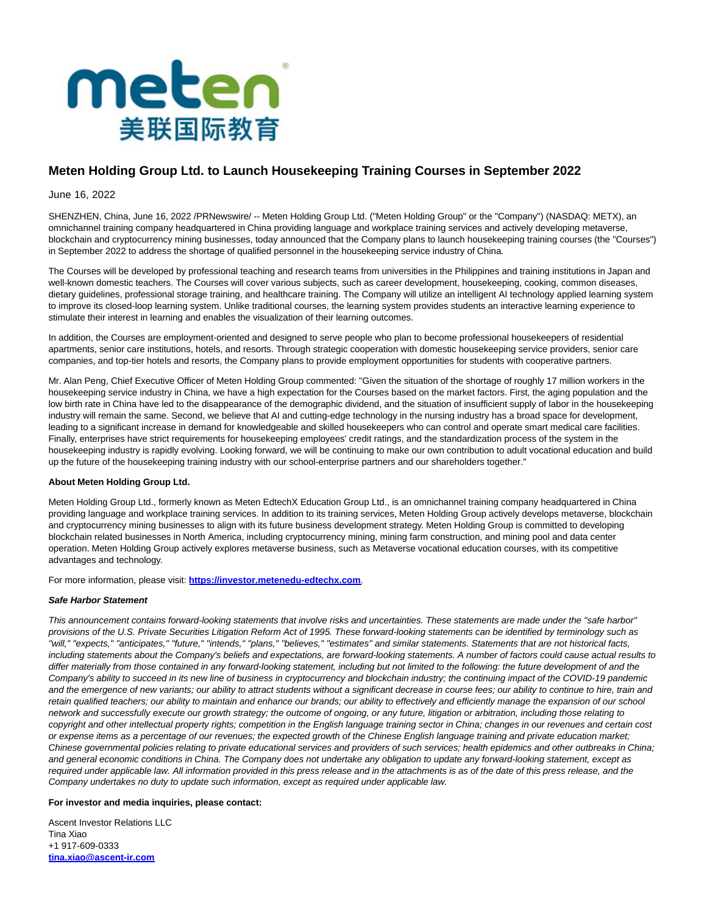

# **Meten Holding Group Ltd. to Launch Housekeeping Training Courses in September 2022**

## June 16, 2022

SHENZHEN, China, June 16, 2022 /PRNewswire/ -- Meten Holding Group Ltd. ("Meten Holding Group" or the "Company") (NASDAQ: METX), an omnichannel training company headquartered in China providing language and workplace training services and actively developing metaverse, blockchain and cryptocurrency mining businesses, today announced that the Company plans to launch housekeeping training courses (the "Courses") in September 2022 to address the shortage of qualified personnel in the housekeeping service industry of China.

The Courses will be developed by professional teaching and research teams from universities in the Philippines and training institutions in Japan and well-known domestic teachers. The Courses will cover various subjects, such as career development, housekeeping, cooking, common diseases, dietary guidelines, professional storage training, and healthcare training. The Company will utilize an intelligent AI technology applied learning system to improve its closed-loop learning system. Unlike traditional courses, the learning system provides students an interactive learning experience to stimulate their interest in learning and enables the visualization of their learning outcomes.

In addition, the Courses are employment-oriented and designed to serve people who plan to become professional housekeepers of residential apartments, senior care institutions, hotels, and resorts. Through strategic cooperation with domestic housekeeping service providers, senior care companies, and top-tier hotels and resorts, the Company plans to provide employment opportunities for students with cooperative partners.

Mr. Alan Peng, Chief Executive Officer of Meten Holding Group commented: "Given the situation of the shortage of roughly 17 million workers in the housekeeping service industry in China, we have a high expectation for the Courses based on the market factors. First, the aging population and the low birth rate in China have led to the disappearance of the demographic dividend, and the situation of insufficient supply of labor in the housekeeping industry will remain the same. Second, we believe that AI and cutting-edge technology in the nursing industry has a broad space for development, leading to a significant increase in demand for knowledgeable and skilled housekeepers who can control and operate smart medical care facilities. Finally, enterprises have strict requirements for housekeeping employees' credit ratings, and the standardization process of the system in the housekeeping industry is rapidly evolving. Looking forward, we will be continuing to make our own contribution to adult vocational education and build up the future of the housekeeping training industry with our school-enterprise partners and our shareholders together."

#### **About Meten Holding Group Ltd.**

Meten Holding Group Ltd., formerly known as Meten EdtechX Education Group Ltd., is an omnichannel training company headquartered in China providing language and workplace training services. In addition to its training services, Meten Holding Group actively develops metaverse, blockchain and cryptocurrency mining businesses to align with its future business development strategy. Meten Holding Group is committed to developing blockchain related businesses in North America, including cryptocurrency mining, mining farm construction, and mining pool and data center operation. Meten Holding Group actively explores metaverse business, such as Metaverse vocational education courses, with its competitive advantages and technology.

For more information, please visit: **[https://investor.metenedu-edtechx.com](https://www.globenewswire.com/Tracker?data=ZI2B-AJrWQpCf9HjfBit1HmUlk2ESpW4EdkdW9lkE63u1bgYmV7OPtaIfegSHTYWhU0Y-mqr3DeS6U6o_Ujve5gpes5hEoKm0DtihhLD3e675NZ1ZWTyXD8TFi-9imoQ)**.

#### **Safe Harbor Statement**

This announcement contains forward-looking statements that involve risks and uncertainties. These statements are made under the "safe harbor" provisions of the U.S. Private Securities Litigation Reform Act of 1995. These forward-looking statements can be identified by terminology such as "will," "expects," "anticipates," "future," "intends," "plans," "believes," "estimates" and similar statements. Statements that are not historical facts, including statements about the Company's beliefs and expectations, are forward-looking statements. A number of factors could cause actual results to differ materially from those contained in any forward-looking statement, including but not limited to the following: the future development of and the Company's ability to succeed in its new line of business in cryptocurrency and blockchain industry; the continuing impact of the COVID-19 pandemic and the emergence of new variants; our ability to attract students without a significant decrease in course fees; our ability to continue to hire, train and retain qualified teachers; our ability to maintain and enhance our brands; our ability to effectively and efficiently manage the expansion of our school network and successfully execute our growth strategy; the outcome of ongoing, or any future, litigation or arbitration, including those relating to copyright and other intellectual property rights; competition in the English language training sector in China; changes in our revenues and certain cost or expense items as a percentage of our revenues; the expected growth of the Chinese English language training and private education market; Chinese governmental policies relating to private educational services and providers of such services; health epidemics and other outbreaks in China; and general economic conditions in China. The Company does not undertake any obligation to update any forward-looking statement, except as required under applicable law. All information provided in this press release and in the attachments is as of the date of this press release, and the Company undertakes no duty to update such information, except as required under applicable law.

## **For investor and media inquiries, please contact:**

Ascent Investor Relations LLC Tina Xiao +1 917-609-0333 **[tina.xiao@ascent-ir.com](https://www.globenewswire.com/Tracker?data=JtGOc64ccNPAtcnorrvdPXR-yEqRHoZfDz14maSHXfpFtasxNwbykBEQYeCcu-cTpD9q0K70UibNw5L_mQVpmLbLPjY2rJAiy6MXjdUEnCc=)**